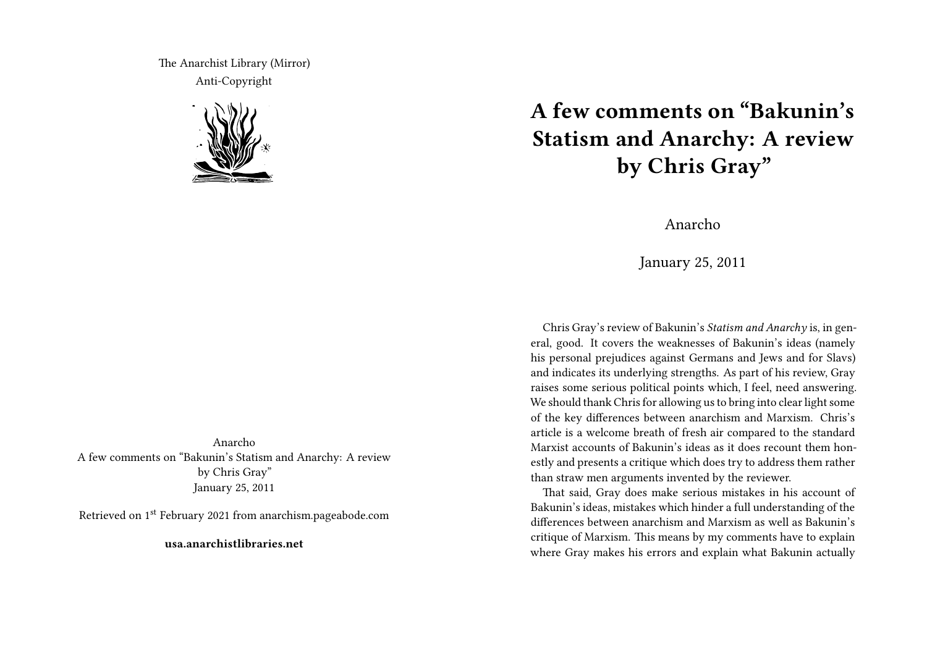The Anarchist Library (Mirror) Anti-Copyright



Anarcho A few comments on "Bakunin's Statism and Anarchy: A review by Chris Gray" January 25, 2011

Retrieved on 1st February 2021 from anarchism.pageabode.com

**usa.anarchistlibraries.net**

## **A few comments on "Bakunin's Statism and Anarchy: A review by Chris Gray"**

Anarcho

January 25, 2011

Chris Gray's review of Bakunin's *Statism and Anarchy* is, in general, good. It covers the weaknesses of Bakunin's ideas (namely his personal prejudices against Germans and Jews and for Slavs) and indicates its underlying strengths. As part of his review, Gray raises some serious political points which, I feel, need answering. We should thank Chris for allowing us to bring into clear light some of the key differences between anarchism and Marxism. Chris's article is a welcome breath of fresh air compared to the standard Marxist accounts of Bakunin's ideas as it does recount them honestly and presents a critique which does try to address them rather than straw men arguments invented by the reviewer.

That said, Gray does make serious mistakes in his account of Bakunin's ideas, mistakes which hinder a full understanding of the differences between anarchism and Marxism as well as Bakunin's critique of Marxism. This means by my comments have to explain where Gray makes his errors and explain what Bakunin actually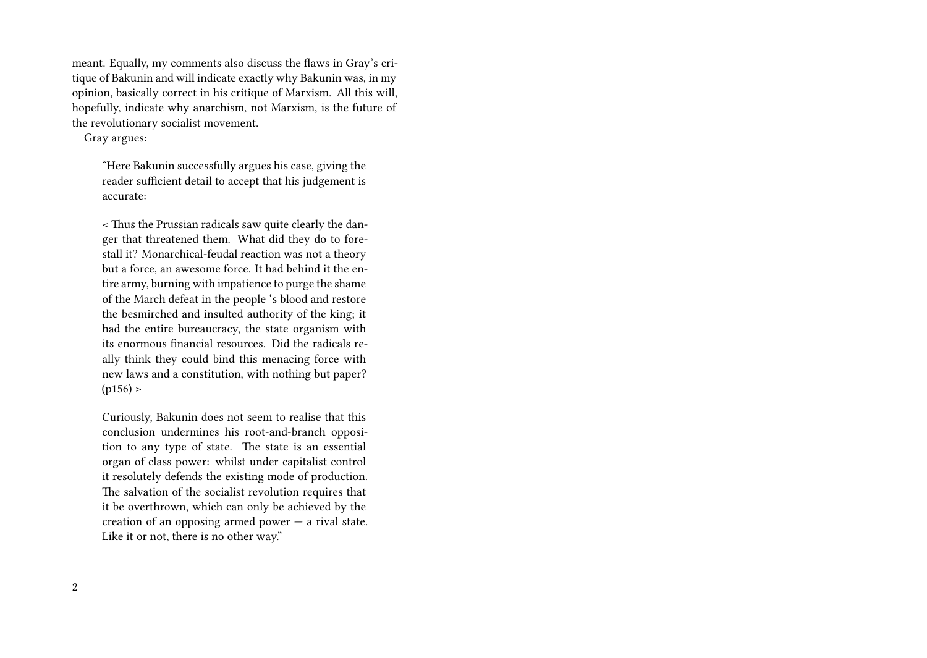meant. Equally, my comments also discuss the flaws in Gray's critique of Bakunin and will indicate exactly why Bakunin was, in my opinion, basically correct in his critique of Marxism. All this will, hopefully, indicate why anarchism, not Marxism, is the future of the revolutionary socialist movement.

Gray argues:

"Here Bakunin successfully argues his case, giving the reader sufficient detail to accept that his judgement is accurate:

< Thus the Prussian radicals saw quite clearly the danger that threatened them. What did they do to forestall it? Monarchical-feudal reaction was not a theory but a force, an awesome force. It had behind it the entire army, burning with impatience to purge the shame of the March defeat in the people 's blood and restore the besmirched and insulted authority of the king; it had the entire bureaucracy, the state organism with its enormous financial resources. Did the radicals really think they could bind this menacing force with new laws and a constitution, with nothing but paper?  $(p156) >$ 

Curiously, Bakunin does not seem to realise that this conclusion undermines his root-and-branch opposition to any type of state. The state is an essential organ of class power: whilst under capitalist control it resolutely defends the existing mode of production. The salvation of the socialist revolution requires that it be overthrown, which can only be achieved by the creation of an opposing armed power — a rival state. Like it or not, there is no other way."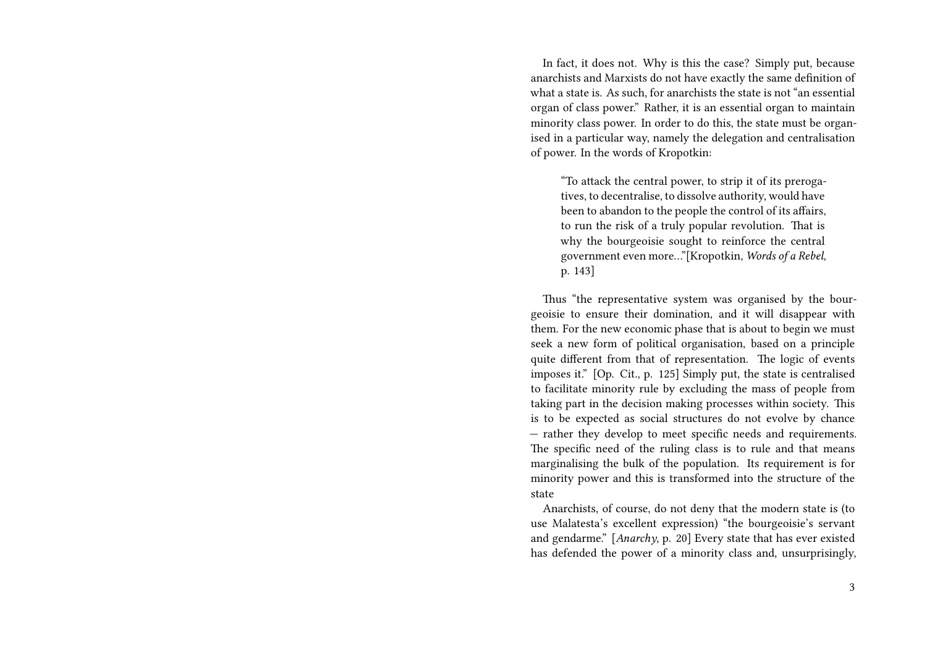In fact, it does not. Why is this the case? Simply put, because anarchists and Marxists do not have exactly the same definition of what a state is. As such, for anarchists the state is not "an essential organ of class power." Rather, it is an essential organ to maintain minority class power. In order to do this, the state must be organised in a particular way, namely the delegation and centralisation of power. In the words of Kropotkin:

"To attack the central power, to strip it of its prerogatives, to decentralise, to dissolve authority, would have been to abandon to the people the control of its affairs, to run the risk of a truly popular revolution. That is why the bourgeoisie sought to reinforce the central government even more…"[Kropotkin, *Words of a Rebel*, p. 143]

Thus "the representative system was organised by the bourgeoisie to ensure their domination, and it will disappear with them. For the new economic phase that is about to begin we must seek a new form of political organisation, based on a principle quite different from that of representation. The logic of events imposes it." [Op. Cit., p. 125] Simply put, the state is centralised to facilitate minority rule by excluding the mass of people from taking part in the decision making processes within society. This is to be expected as social structures do not evolve by chance — rather they develop to meet specific needs and requirements. The specific need of the ruling class is to rule and that means marginalising the bulk of the population. Its requirement is for minority power and this is transformed into the structure of the state

Anarchists, of course, do not deny that the modern state is (to use Malatesta's excellent expression) "the bourgeoisie's servant and gendarme." [*Anarchy*, p. 20] Every state that has ever existed has defended the power of a minority class and, unsurprisingly,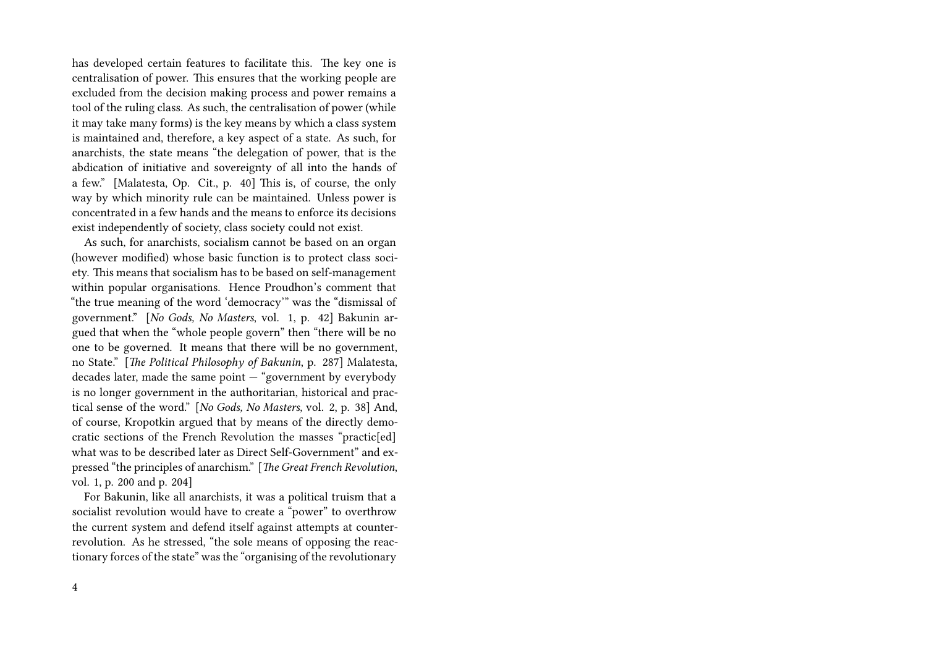has developed certain features to facilitate this. The key one is centralisation of power. This ensures that the working people are excluded from the decision making process and power remains a tool of the ruling class. As such, the centralisation of power (while it may take many forms) is the key means by which a class system is maintained and, therefore, a key aspect of a state. As such, for anarchists, the state means "the delegation of power, that is the abdication of initiative and sovereignty of all into the hands of a few." [Malatesta, Op. Cit., p. 40] This is, of course, the only way by which minority rule can be maintained. Unless power is concentrated in a few hands and the means to enforce its decisions exist independently of society, class society could not exist.

As such, for anarchists, socialism cannot be based on an organ (however modified) whose basic function is to protect class society. This means that socialism has to be based on self-management within popular organisations. Hence Proudhon's comment that "the true meaning of the word 'democracy'" was the "dismissal of government." [*No Gods, No Masters*, vol. 1, p. 42] Bakunin argued that when the "whole people govern" then "there will be no one to be governed. It means that there will be no government, no State." [*The Political Philosophy of Bakunin*, p. 287] Malatesta, decades later, made the same point — "government by everybody is no longer government in the authoritarian, historical and practical sense of the word." [*No Gods, No Masters*, vol. 2, p. 38] And, of course, Kropotkin argued that by means of the directly democratic sections of the French Revolution the masses "practic[ed] what was to be described later as Direct Self-Government" and expressed "the principles of anarchism." [*The Great French Revolution*, vol. 1, p. 200 and p. 204]

For Bakunin, like all anarchists, it was a political truism that a socialist revolution would have to create a "power" to overthrow the current system and defend itself against attempts at counterrevolution. As he stressed, "the sole means of opposing the reactionary forces of the state" was the "organising of the revolutionary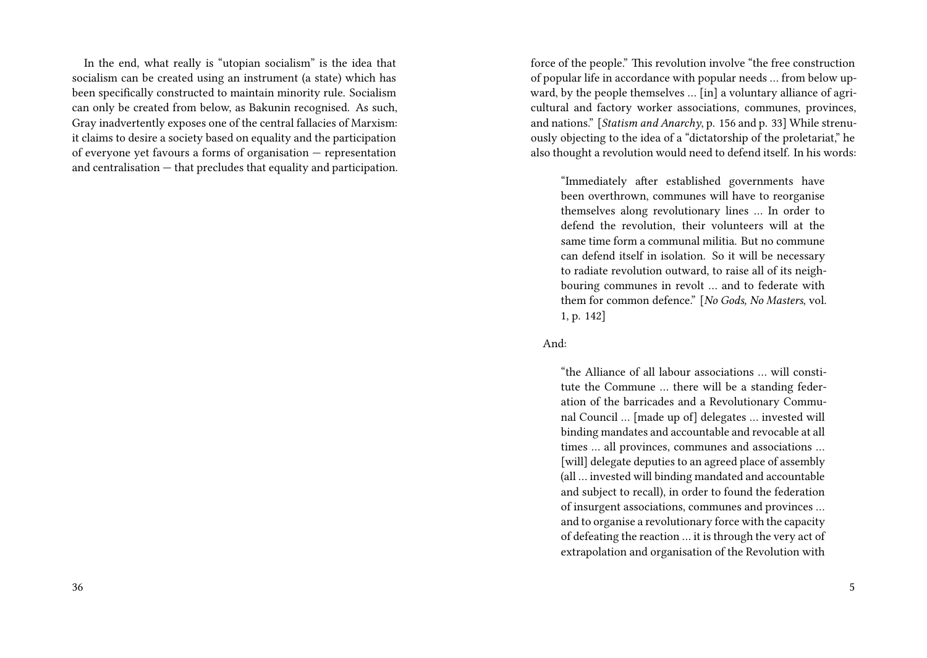In the end, what really is "utopian socialism" is the idea that socialism can be created using an instrument (a state) which has been specifically constructed to maintain minority rule. Socialism can only be created from below, as Bakunin recognised. As such, Gray inadvertently exposes one of the central fallacies of Marxism: it claims to desire a society based on equality and the participation of everyone yet favours a forms of organisation — representation and centralisation — that precludes that equality and participation. force of the people." This revolution involve "the free construction of popular life in accordance with popular needs … from below upward, by the people themselves … [in] a voluntary alliance of agricultural and factory worker associations, communes, provinces, and nations." [*Statism and Anarchy*, p. 156 and p. 33] While strenuously objecting to the idea of a "dictatorship of the proletariat," he also thought a revolution would need to defend itself. In his words:

"Immediately after established governments have been overthrown, communes will have to reorganise themselves along revolutionary lines … In order to defend the revolution, their volunteers will at the same time form a communal militia. But no commune can defend itself in isolation. So it will be necessary to radiate revolution outward, to raise all of its neighbouring communes in revolt … and to federate with them for common defence." [*No Gods, No Masters*, vol. 1, p. 142]

## And:

"the Alliance of all labour associations … will constitute the Commune … there will be a standing federation of the barricades and a Revolutionary Communal Council … [made up of] delegates … invested will binding mandates and accountable and revocable at all times … all provinces, communes and associations … [will] delegate deputies to an agreed place of assembly (all … invested will binding mandated and accountable and subject to recall), in order to found the federation of insurgent associations, communes and provinces … and to organise a revolutionary force with the capacity of defeating the reaction … it is through the very act of extrapolation and organisation of the Revolution with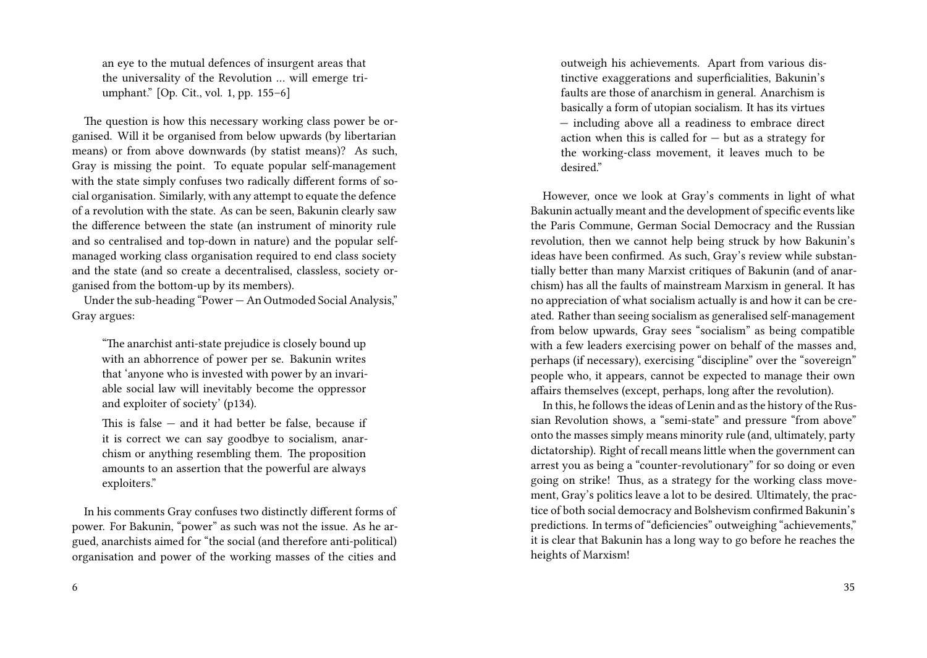an eye to the mutual defences of insurgent areas that the universality of the Revolution … will emerge triumphant." [Op. Cit., vol. 1, pp. 155–6]

The question is how this necessary working class power be organised. Will it be organised from below upwards (by libertarian means) or from above downwards (by statist means)? As such, Gray is missing the point. To equate popular self-management with the state simply confuses two radically different forms of social organisation. Similarly, with any attempt to equate the defence of a revolution with the state. As can be seen, Bakunin clearly saw the difference between the state (an instrument of minority rule and so centralised and top-down in nature) and the popular selfmanaged working class organisation required to end class society and the state (and so create a decentralised, classless, society organised from the bottom-up by its members).

Under the sub-heading "Power — An Outmoded Social Analysis," Gray argues:

"The anarchist anti-state prejudice is closely bound up with an abhorrence of power per se. Bakunin writes that 'anyone who is invested with power by an invariable social law will inevitably become the oppressor and exploiter of society' (p134).

This is false  $-$  and it had better be false, because if it is correct we can say goodbye to socialism, anarchism or anything resembling them. The proposition amounts to an assertion that the powerful are always exploiters."

In his comments Gray confuses two distinctly different forms of power. For Bakunin, "power" as such was not the issue. As he argued, anarchists aimed for "the social (and therefore anti-political) organisation and power of the working masses of the cities and

6

outweigh his achievements. Apart from various distinctive exaggerations and superficialities, Bakunin's faults are those of anarchism in general. Anarchism is basically a form of utopian socialism. It has its virtues — including above all a readiness to embrace direct action when this is called for  $-$  but as a strategy for the working-class movement, it leaves much to be desired."

However, once we look at Gray's comments in light of what Bakunin actually meant and the development of specific events like the Paris Commune, German Social Democracy and the Russian revolution, then we cannot help being struck by how Bakunin's ideas have been confirmed. As such, Gray's review while substantially better than many Marxist critiques of Bakunin (and of anarchism) has all the faults of mainstream Marxism in general. It has no appreciation of what socialism actually is and how it can be created. Rather than seeing socialism as generalised self-management from below upwards, Gray sees "socialism" as being compatible with a few leaders exercising power on behalf of the masses and, perhaps (if necessary), exercising "discipline" over the "sovereign" people who, it appears, cannot be expected to manage their own affairs themselves (except, perhaps, long after the revolution).

In this, he follows the ideas of Lenin and as the history of the Russian Revolution shows, a "semi-state" and pressure "from above" onto the masses simply means minority rule (and, ultimately, party dictatorship). Right of recall means little when the government can arrest you as being a "counter-revolutionary" for so doing or even going on strike! Thus, as a strategy for the working class movement, Gray's politics leave a lot to be desired. Ultimately, the practice of both social democracy and Bolshevism confirmed Bakunin's predictions. In terms of "deficiencies" outweighing "achievements," it is clear that Bakunin has a long way to go before he reaches the heights of Marxism!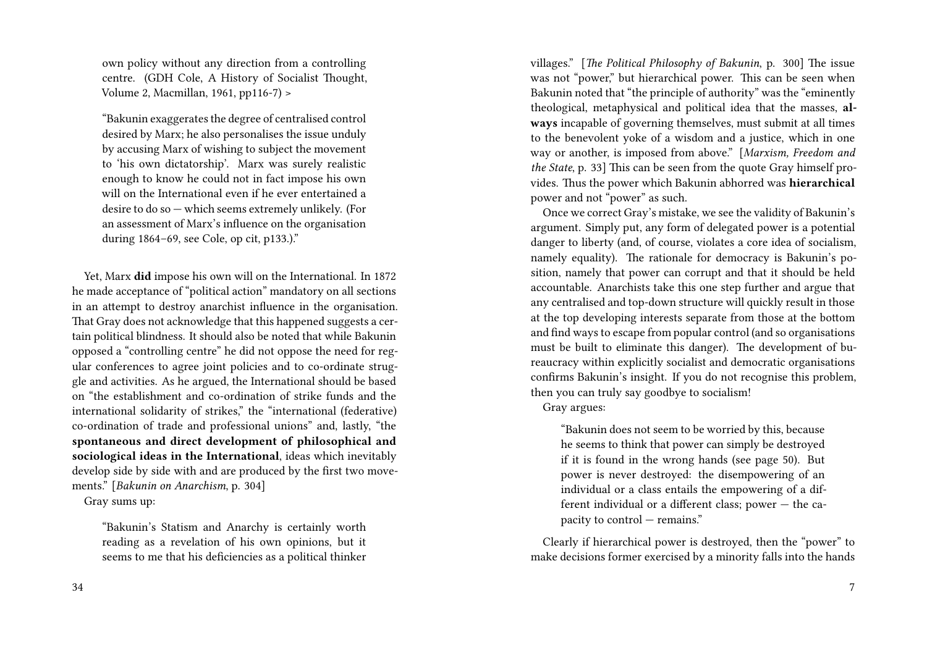own policy without any direction from a controlling centre. (GDH Cole, A History of Socialist Thought, Volume 2, Macmillan, 1961, pp116-7) >

"Bakunin exaggerates the degree of centralised control desired by Marx; he also personalises the issue unduly by accusing Marx of wishing to subject the movement to 'his own dictatorship'. Marx was surely realistic enough to know he could not in fact impose his own will on the International even if he ever entertained a desire to do so — which seems extremely unlikely. (For an assessment of Marx's influence on the organisation during 1864–69, see Cole, op cit, p133.)."

Yet, Marx **did** impose his own will on the International. In 1872 he made acceptance of "political action" mandatory on all sections in an attempt to destroy anarchist influence in the organisation. That Gray does not acknowledge that this happened suggests a certain political blindness. It should also be noted that while Bakunin opposed a "controlling centre" he did not oppose the need for regular conferences to agree joint policies and to co-ordinate struggle and activities. As he argued, the International should be based on "the establishment and co-ordination of strike funds and the international solidarity of strikes," the "international (federative) co-ordination of trade and professional unions" and, lastly, "the **spontaneous and direct development of philosophical and sociological ideas in the International**, ideas which inevitably develop side by side with and are produced by the first two movements." [*Bakunin on Anarchism*, p. 304]

Gray sums up:

"Bakunin's Statism and Anarchy is certainly worth reading as a revelation of his own opinions, but it seems to me that his deficiencies as a political thinker villages." [*The Political Philosophy of Bakunin*, p. 300] The issue was not "power," but hierarchical power. This can be seen when Bakunin noted that "the principle of authority" was the "eminently theological, metaphysical and political idea that the masses, **always** incapable of governing themselves, must submit at all times to the benevolent yoke of a wisdom and a justice, which in one way or another, is imposed from above." [*Marxism, Freedom and the State*, p. 33] This can be seen from the quote Gray himself provides. Thus the power which Bakunin abhorred was **hierarchical** power and not "power" as such.

Once we correct Gray's mistake, we see the validity of Bakunin's argument. Simply put, any form of delegated power is a potential danger to liberty (and, of course, violates a core idea of socialism, namely equality). The rationale for democracy is Bakunin's position, namely that power can corrupt and that it should be held accountable. Anarchists take this one step further and argue that any centralised and top-down structure will quickly result in those at the top developing interests separate from those at the bottom and find ways to escape from popular control (and so organisations must be built to eliminate this danger). The development of bureaucracy within explicitly socialist and democratic organisations confirms Bakunin's insight. If you do not recognise this problem, then you can truly say goodbye to socialism!

Gray argues:

"Bakunin does not seem to be worried by this, because he seems to think that power can simply be destroyed if it is found in the wrong hands (see page 50). But power is never destroyed: the disempowering of an individual or a class entails the empowering of a different individual or a different class; power — the capacity to control — remains."

Clearly if hierarchical power is destroyed, then the "power" to make decisions former exercised by a minority falls into the hands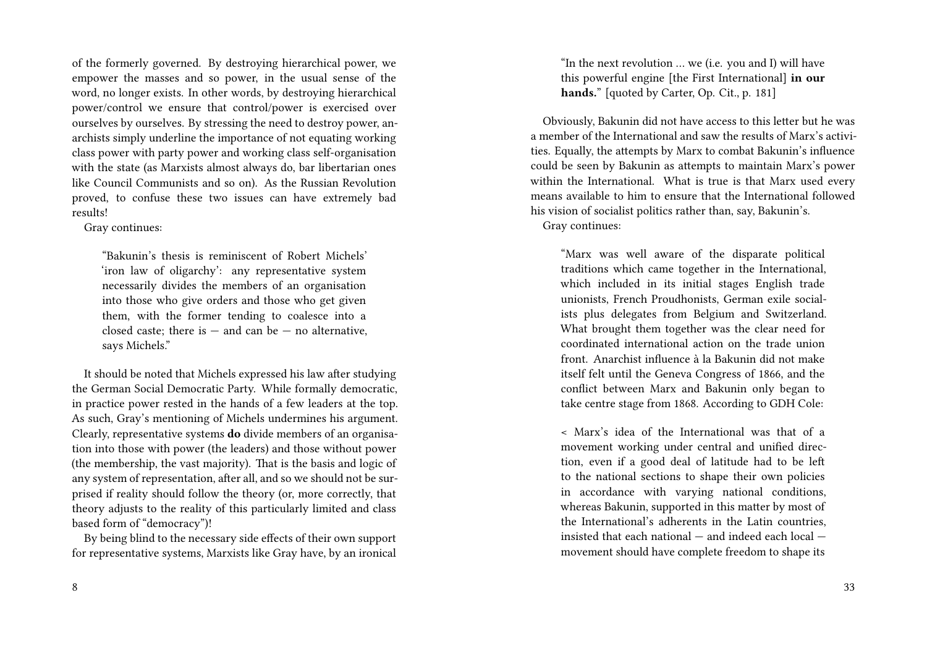of the formerly governed. By destroying hierarchical power, we empower the masses and so power, in the usual sense of the word, no longer exists. In other words, by destroying hierarchical power/control we ensure that control/power is exercised over ourselves by ourselves. By stressing the need to destroy power, anarchists simply underline the importance of not equating working class power with party power and working class self-organisation with the state (as Marxists almost always do, bar libertarian ones like Council Communists and so on). As the Russian Revolution proved, to confuse these two issues can have extremely bad results!

Gray continues:

"Bakunin's thesis is reminiscent of Robert Michels' 'iron law of oligarchy': any representative system necessarily divides the members of an organisation into those who give orders and those who get given them, with the former tending to coalesce into a closed caste; there is  $-$  and can be  $-$  no alternative. says Michels."

It should be noted that Michels expressed his law after studying the German Social Democratic Party. While formally democratic, in practice power rested in the hands of a few leaders at the top. As such, Gray's mentioning of Michels undermines his argument. Clearly, representative systems **do** divide members of an organisation into those with power (the leaders) and those without power (the membership, the vast majority). That is the basis and logic of any system of representation, after all, and so we should not be surprised if reality should follow the theory (or, more correctly, that theory adjusts to the reality of this particularly limited and class based form of "democracy")!

By being blind to the necessary side effects of their own support for representative systems, Marxists like Gray have, by an ironical

"In the next revolution … we (i.e. you and I) will have this powerful engine [the First International] **in our hands.**" [quoted by Carter, Op. Cit., p. 181]

Obviously, Bakunin did not have access to this letter but he was a member of the International and saw the results of Marx's activities. Equally, the attempts by Marx to combat Bakunin's influence could be seen by Bakunin as attempts to maintain Marx's power within the International. What is true is that Marx used every means available to him to ensure that the International followed his vision of socialist politics rather than, say, Bakunin's.

Gray continues:

"Marx was well aware of the disparate political traditions which came together in the International, which included in its initial stages English trade unionists, French Proudhonists, German exile socialists plus delegates from Belgium and Switzerland. What brought them together was the clear need for coordinated international action on the trade union front. Anarchist influence à la Bakunin did not make itself felt until the Geneva Congress of 1866, and the conflict between Marx and Bakunin only began to take centre stage from 1868. According to GDH Cole:

< Marx's idea of the International was that of a movement working under central and unified direction, even if a good deal of latitude had to be left to the national sections to shape their own policies in accordance with varying national conditions, whereas Bakunin, supported in this matter by most of the International's adherents in the Latin countries, insisted that each national — and indeed each local movement should have complete freedom to shape its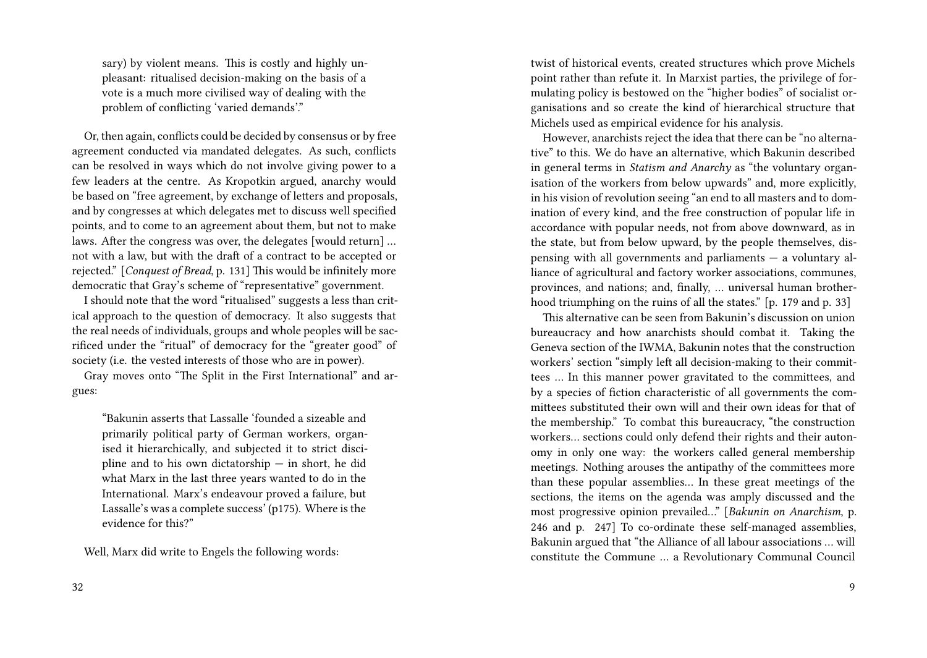sary) by violent means. This is costly and highly unpleasant: ritualised decision-making on the basis of a vote is a much more civilised way of dealing with the problem of conflicting 'varied demands'."

Or, then again, conflicts could be decided by consensus or by free agreement conducted via mandated delegates. As such, conflicts can be resolved in ways which do not involve giving power to a few leaders at the centre. As Kropotkin argued, anarchy would be based on "free agreement, by exchange of letters and proposals, and by congresses at which delegates met to discuss well specified points, and to come to an agreement about them, but not to make laws. After the congress was over, the delegates [would return] … not with a law, but with the draft of a contract to be accepted or rejected." [*Conquest of Bread*, p. 131] This would be infinitely more democratic that Gray's scheme of "representative" government.

I should note that the word "ritualised" suggests a less than critical approach to the question of democracy. It also suggests that the real needs of individuals, groups and whole peoples will be sacrificed under the "ritual" of democracy for the "greater good" of society (i.e. the vested interests of those who are in power).

Gray moves onto "The Split in the First International" and argues:

"Bakunin asserts that Lassalle 'founded a sizeable and primarily political party of German workers, organised it hierarchically, and subjected it to strict discipline and to his own dictatorship — in short, he did what Marx in the last three years wanted to do in the International. Marx's endeavour proved a failure, but Lassalle's was a complete success' (p175). Where is the evidence for this?"

Well, Marx did write to Engels the following words:

twist of historical events, created structures which prove Michels point rather than refute it. In Marxist parties, the privilege of formulating policy is bestowed on the "higher bodies" of socialist organisations and so create the kind of hierarchical structure that Michels used as empirical evidence for his analysis.

However, anarchists reject the idea that there can be "no alternative" to this. We do have an alternative, which Bakunin described in general terms in *Statism and Anarchy* as "the voluntary organisation of the workers from below upwards" and, more explicitly, in his vision of revolution seeing "an end to all masters and to domination of every kind, and the free construction of popular life in accordance with popular needs, not from above downward, as in the state, but from below upward, by the people themselves, dispensing with all governments and parliaments — a voluntary alliance of agricultural and factory worker associations, communes, provinces, and nations; and, finally, … universal human brotherhood triumphing on the ruins of all the states." [p. 179 and p. 33]

This alternative can be seen from Bakunin's discussion on union bureaucracy and how anarchists should combat it. Taking the Geneva section of the IWMA, Bakunin notes that the construction workers' section "simply left all decision-making to their committees … In this manner power gravitated to the committees, and by a species of fiction characteristic of all governments the committees substituted their own will and their own ideas for that of the membership." To combat this bureaucracy, "the construction workers… sections could only defend their rights and their autonomy in only one way: the workers called general membership meetings. Nothing arouses the antipathy of the committees more than these popular assemblies… In these great meetings of the sections, the items on the agenda was amply discussed and the most progressive opinion prevailed…" [*Bakunin on Anarchism*, p. 246 and p. 247] To co-ordinate these self-managed assemblies, Bakunin argued that "the Alliance of all labour associations … will constitute the Commune … a Revolutionary Communal Council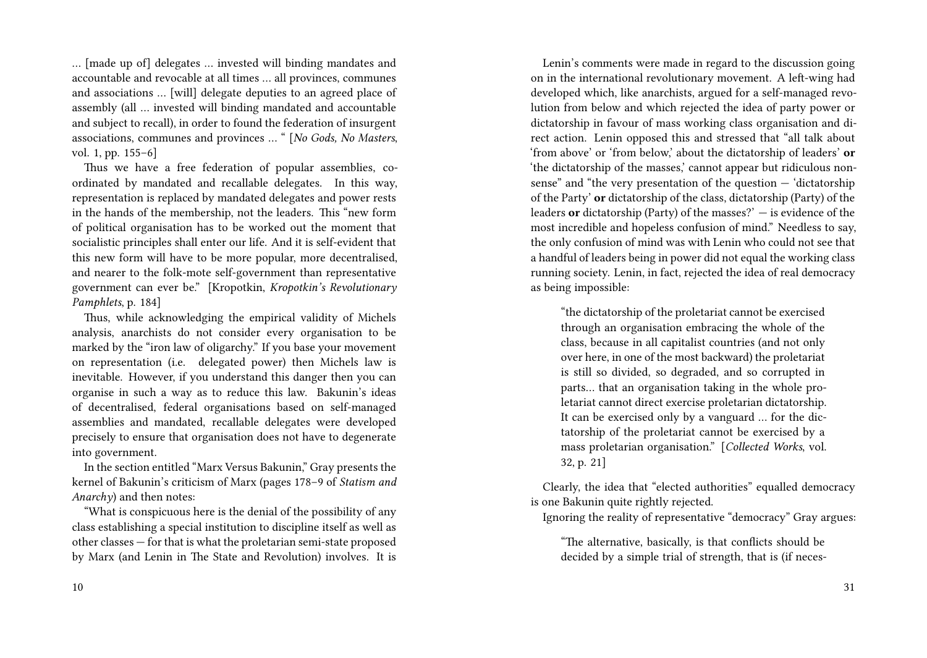… [made up of] delegates … invested will binding mandates and accountable and revocable at all times … all provinces, communes and associations … [will] delegate deputies to an agreed place of assembly (all … invested will binding mandated and accountable and subject to recall), in order to found the federation of insurgent associations, communes and provinces … " [*No Gods, No Masters*, vol. 1, pp. 155–6]

Thus we have a free federation of popular assemblies, coordinated by mandated and recallable delegates. In this way, representation is replaced by mandated delegates and power rests in the hands of the membership, not the leaders. This "new form of political organisation has to be worked out the moment that socialistic principles shall enter our life. And it is self-evident that this new form will have to be more popular, more decentralised, and nearer to the folk-mote self-government than representative government can ever be." [Kropotkin, *Kropotkin's Revolutionary Pamphlets*, p. 184]

Thus, while acknowledging the empirical validity of Michels analysis, anarchists do not consider every organisation to be marked by the "iron law of oligarchy." If you base your movement on representation (i.e. delegated power) then Michels law is inevitable. However, if you understand this danger then you can organise in such a way as to reduce this law. Bakunin's ideas of decentralised, federal organisations based on self-managed assemblies and mandated, recallable delegates were developed precisely to ensure that organisation does not have to degenerate into government.

In the section entitled "Marx Versus Bakunin," Gray presents the kernel of Bakunin's criticism of Marx (pages 178–9 of *Statism and Anarchy*) and then notes:

"What is conspicuous here is the denial of the possibility of any class establishing a special institution to discipline itself as well as other classes — for that is what the proletarian semi-state proposed by Marx (and Lenin in The State and Revolution) involves. It is

Lenin's comments were made in regard to the discussion going on in the international revolutionary movement. A left-wing had developed which, like anarchists, argued for a self-managed revolution from below and which rejected the idea of party power or dictatorship in favour of mass working class organisation and direct action. Lenin opposed this and stressed that "all talk about 'from above' or 'from below,' about the dictatorship of leaders' **or** 'the dictatorship of the masses,' cannot appear but ridiculous nonsense" and "the very presentation of the question — 'dictatorship of the Party' **or** dictatorship of the class, dictatorship (Party) of the leaders **or** dictatorship (Party) of the masses?' — is evidence of the most incredible and hopeless confusion of mind." Needless to say, the only confusion of mind was with Lenin who could not see that a handful of leaders being in power did not equal the working class running society. Lenin, in fact, rejected the idea of real democracy as being impossible:

"the dictatorship of the proletariat cannot be exercised through an organisation embracing the whole of the class, because in all capitalist countries (and not only over here, in one of the most backward) the proletariat is still so divided, so degraded, and so corrupted in parts… that an organisation taking in the whole proletariat cannot direct exercise proletarian dictatorship. It can be exercised only by a vanguard … for the dictatorship of the proletariat cannot be exercised by a mass proletarian organisation." [*Collected Works*, vol. 32, p. 21]

Clearly, the idea that "elected authorities" equalled democracy is one Bakunin quite rightly rejected.

Ignoring the reality of representative "democracy" Gray argues:

"The alternative, basically, is that conflicts should be decided by a simple trial of strength, that is (if neces-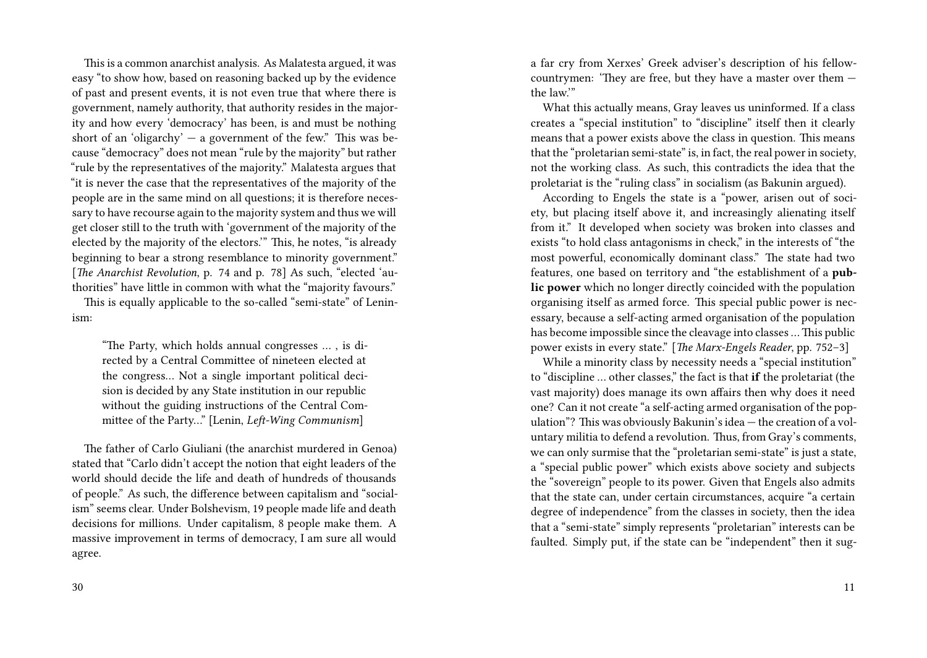This is a common anarchist analysis. As Malatesta argued, it was easy "to show how, based on reasoning backed up by the evidence of past and present events, it is not even true that where there is government, namely authority, that authority resides in the majority and how every 'democracy' has been, is and must be nothing short of an 'oligarchy'  $-$  a government of the few." This was because "democracy" does not mean "rule by the majority" but rather "rule by the representatives of the majority." Malatesta argues that "it is never the case that the representatives of the majority of the people are in the same mind on all questions; it is therefore necessary to have recourse again to the majority system and thus we will get closer still to the truth with 'government of the majority of the elected by the majority of the electors.'" This, he notes, "is already beginning to bear a strong resemblance to minority government." [*The Anarchist Revolution*, p. 74 and p. 78] As such, "elected 'authorities" have little in common with what the "majority favours."

This is equally applicable to the so-called "semi-state" of Leninism:

"The Party, which holds annual congresses … , is directed by a Central Committee of nineteen elected at the congress… Not a single important political decision is decided by any State institution in our republic without the guiding instructions of the Central Committee of the Party…" [Lenin, *Left-Wing Communism*]

The father of Carlo Giuliani (the anarchist murdered in Genoa) stated that "Carlo didn't accept the notion that eight leaders of the world should decide the life and death of hundreds of thousands of people." As such, the difference between capitalism and "socialism" seems clear. Under Bolshevism, 19 people made life and death decisions for millions. Under capitalism, 8 people make them. A massive improvement in terms of democracy, I am sure all would agree.

a far cry from Xerxes' Greek adviser's description of his fellowcountrymen: 'They are free, but they have a master over them the law.'"

What this actually means, Gray leaves us uninformed. If a class creates a "special institution" to "discipline" itself then it clearly means that a power exists above the class in question. This means that the "proletarian semi-state" is, in fact, the real power in society, not the working class. As such, this contradicts the idea that the proletariat is the "ruling class" in socialism (as Bakunin argued).

According to Engels the state is a "power, arisen out of society, but placing itself above it, and increasingly alienating itself from it." It developed when society was broken into classes and exists "to hold class antagonisms in check," in the interests of "the most powerful, economically dominant class." The state had two features, one based on territory and "the establishment of a **public power** which no longer directly coincided with the population organising itself as armed force. This special public power is necessary, because a self-acting armed organisation of the population has become impossible since the cleavage into classes … This public power exists in every state." [*The Marx-Engels Reader*, pp. 752–3]

While a minority class by necessity needs a "special institution" to "discipline … other classes," the fact is that **if** the proletariat (the vast majority) does manage its own affairs then why does it need one? Can it not create "a self-acting armed organisation of the population"? This was obviously Bakunin's idea — the creation of a voluntary militia to defend a revolution. Thus, from Gray's comments, we can only surmise that the "proletarian semi-state" is just a state, a "special public power" which exists above society and subjects the "sovereign" people to its power. Given that Engels also admits that the state can, under certain circumstances, acquire "a certain degree of independence" from the classes in society, then the idea that a "semi-state" simply represents "proletarian" interests can be faulted. Simply put, if the state can be "independent" then it sug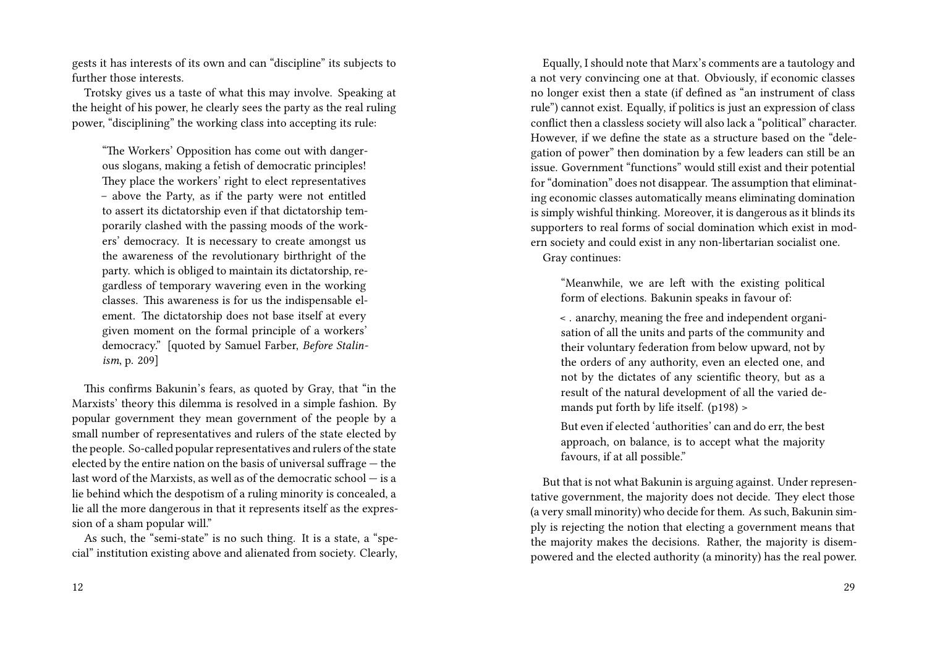gests it has interests of its own and can "discipline" its subjects to further those interests.

Trotsky gives us a taste of what this may involve. Speaking at the height of his power, he clearly sees the party as the real ruling power, "disciplining" the working class into accepting its rule:

"The Workers' Opposition has come out with dangerous slogans, making a fetish of democratic principles! They place the workers' right to elect representatives – above the Party, as if the party were not entitled to assert its dictatorship even if that dictatorship temporarily clashed with the passing moods of the workers' democracy. It is necessary to create amongst us the awareness of the revolutionary birthright of the party. which is obliged to maintain its dictatorship, regardless of temporary wavering even in the working classes. This awareness is for us the indispensable element. The dictatorship does not base itself at every given moment on the formal principle of a workers' democracy." [quoted by Samuel Farber, *Before Stalinism*, p. 209]

This confirms Bakunin's fears, as quoted by Gray, that "in the Marxists' theory this dilemma is resolved in a simple fashion. By popular government they mean government of the people by a small number of representatives and rulers of the state elected by the people. So-called popular representatives and rulers of the state elected by the entire nation on the basis of universal suffrage — the last word of the Marxists, as well as of the democratic school — is a lie behind which the despotism of a ruling minority is concealed, a lie all the more dangerous in that it represents itself as the expression of a sham popular will."

As such, the "semi-state" is no such thing. It is a state, a "special" institution existing above and alienated from society. Clearly,

Equally, I should note that Marx's comments are a tautology and a not very convincing one at that. Obviously, if economic classes no longer exist then a state (if defined as "an instrument of class rule") cannot exist. Equally, if politics is just an expression of class conflict then a classless society will also lack a "political" character. However, if we define the state as a structure based on the "delegation of power" then domination by a few leaders can still be an issue. Government "functions" would still exist and their potential for "domination" does not disappear. The assumption that eliminating economic classes automatically means eliminating domination is simply wishful thinking. Moreover, it is dangerous as it blinds its supporters to real forms of social domination which exist in modern society and could exist in any non-libertarian socialist one. Gray continues:

"Meanwhile, we are left with the existing political form of elections. Bakunin speaks in favour of:

< . anarchy, meaning the free and independent organisation of all the units and parts of the community and their voluntary federation from below upward, not by the orders of any authority, even an elected one, and not by the dictates of any scientific theory, but as a result of the natural development of all the varied demands put forth by life itself. (p198) >

But even if elected 'authorities' can and do err, the best approach, on balance, is to accept what the majority favours, if at all possible."

But that is not what Bakunin is arguing against. Under representative government, the majority does not decide. They elect those (a very small minority) who decide for them. As such, Bakunin simply is rejecting the notion that electing a government means that the majority makes the decisions. Rather, the majority is disempowered and the elected authority (a minority) has the real power.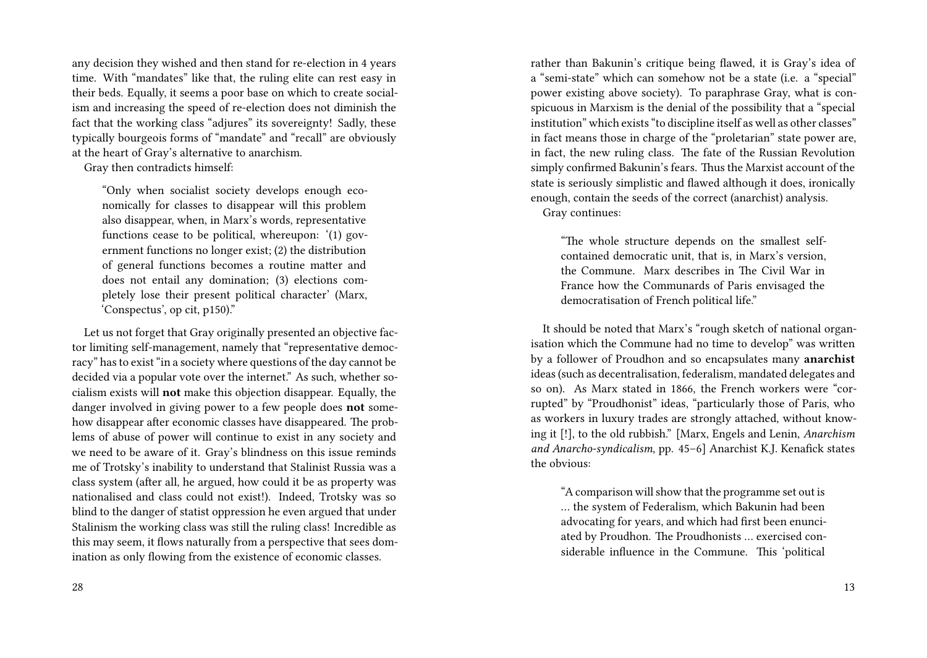any decision they wished and then stand for re-election in 4 years time. With "mandates" like that, the ruling elite can rest easy in their beds. Equally, it seems a poor base on which to create socialism and increasing the speed of re-election does not diminish the fact that the working class "adjures" its sovereignty! Sadly, these typically bourgeois forms of "mandate" and "recall" are obviously at the heart of Gray's alternative to anarchism.

Gray then contradicts himself:

"Only when socialist society develops enough economically for classes to disappear will this problem also disappear, when, in Marx's words, representative functions cease to be political, whereupon: '(1) government functions no longer exist; (2) the distribution of general functions becomes a routine matter and does not entail any domination; (3) elections completely lose their present political character' (Marx, 'Conspectus', op cit, p150)."

Let us not forget that Gray originally presented an objective factor limiting self-management, namely that "representative democracy" has to exist "in a society where questions of the day cannot be decided via a popular vote over the internet." As such, whether socialism exists will **not** make this objection disappear. Equally, the danger involved in giving power to a few people does **not** somehow disappear after economic classes have disappeared. The problems of abuse of power will continue to exist in any society and we need to be aware of it. Gray's blindness on this issue reminds me of Trotsky's inability to understand that Stalinist Russia was a class system (after all, he argued, how could it be as property was nationalised and class could not exist!). Indeed, Trotsky was so blind to the danger of statist oppression he even argued that under Stalinism the working class was still the ruling class! Incredible as this may seem, it flows naturally from a perspective that sees domination as only flowing from the existence of economic classes.

rather than Bakunin's critique being flawed, it is Gray's idea of a "semi-state" which can somehow not be a state (i.e. a "special" power existing above society). To paraphrase Gray, what is conspicuous in Marxism is the denial of the possibility that a "special institution" which exists "to discipline itself as well as other classes" in fact means those in charge of the "proletarian" state power are, in fact, the new ruling class. The fate of the Russian Revolution simply confirmed Bakunin's fears. Thus the Marxist account of the state is seriously simplistic and flawed although it does, ironically enough, contain the seeds of the correct (anarchist) analysis. Gray continues:

"The whole structure depends on the smallest selfcontained democratic unit, that is, in Marx's version, the Commune. Marx describes in The Civil War in France how the Communards of Paris envisaged the democratisation of French political life."

It should be noted that Marx's "rough sketch of national organisation which the Commune had no time to develop" was written by a follower of Proudhon and so encapsulates many **anarchist** ideas (such as decentralisation, federalism, mandated delegates and so on). As Marx stated in 1866, the French workers were "corrupted" by "Proudhonist" ideas, "particularly those of Paris, who as workers in luxury trades are strongly attached, without knowing it [!], to the old rubbish." [Marx, Engels and Lenin, *Anarchism and Anarcho-syndicalism*, pp. 45–6] Anarchist K.J. Kenafick states the obvious:

"A comparison will show that the programme set out is … the system of Federalism, which Bakunin had been advocating for years, and which had first been enunciated by Proudhon. The Proudhonists … exercised considerable influence in the Commune. This 'political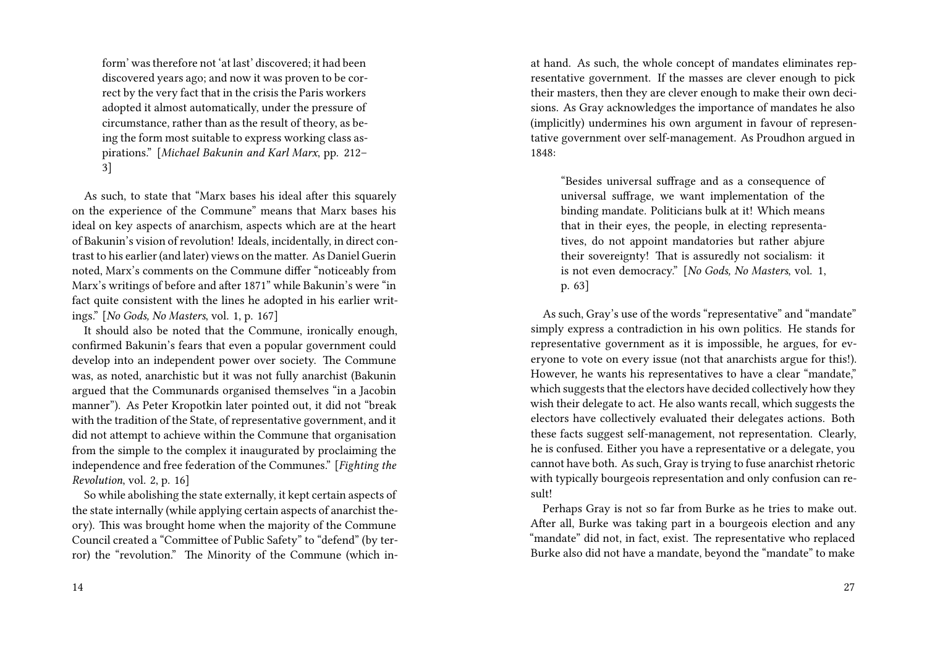form' was therefore not 'at last' discovered; it had been discovered years ago; and now it was proven to be correct by the very fact that in the crisis the Paris workers adopted it almost automatically, under the pressure of circumstance, rather than as the result of theory, as being the form most suitable to express working class aspirations." [*Michael Bakunin and Karl Marx*, pp. 212– 3]

As such, to state that "Marx bases his ideal after this squarely on the experience of the Commune" means that Marx bases his ideal on key aspects of anarchism, aspects which are at the heart of Bakunin's vision of revolution! Ideals, incidentally, in direct contrast to his earlier (and later) views on the matter. As Daniel Guerin noted, Marx's comments on the Commune differ "noticeably from Marx's writings of before and after 1871" while Bakunin's were "in fact quite consistent with the lines he adopted in his earlier writings." [*No Gods, No Masters*, vol. 1, p. 167]

It should also be noted that the Commune, ironically enough, confirmed Bakunin's fears that even a popular government could develop into an independent power over society. The Commune was, as noted, anarchistic but it was not fully anarchist (Bakunin argued that the Communards organised themselves "in a Jacobin manner"). As Peter Kropotkin later pointed out, it did not "break with the tradition of the State, of representative government, and it did not attempt to achieve within the Commune that organisation from the simple to the complex it inaugurated by proclaiming the independence and free federation of the Communes." [*Fighting the Revolution*, vol. 2, p. 16]

So while abolishing the state externally, it kept certain aspects of the state internally (while applying certain aspects of anarchist theory). This was brought home when the majority of the Commune Council created a "Committee of Public Safety" to "defend" (by terror) the "revolution." The Minority of the Commune (which inat hand. As such, the whole concept of mandates eliminates representative government. If the masses are clever enough to pick their masters, then they are clever enough to make their own decisions. As Gray acknowledges the importance of mandates he also (implicitly) undermines his own argument in favour of representative government over self-management. As Proudhon argued in 1848:

"Besides universal suffrage and as a consequence of universal suffrage, we want implementation of the binding mandate. Politicians bulk at it! Which means that in their eyes, the people, in electing representatives, do not appoint mandatories but rather abjure their sovereignty! That is assuredly not socialism: it is not even democracy." [*No Gods, No Masters*, vol. 1, p. 63]

As such, Gray's use of the words "representative" and "mandate" simply express a contradiction in his own politics. He stands for representative government as it is impossible, he argues, for everyone to vote on every issue (not that anarchists argue for this!). However, he wants his representatives to have a clear "mandate," which suggests that the electors have decided collectively how they wish their delegate to act. He also wants recall, which suggests the electors have collectively evaluated their delegates actions. Both these facts suggest self-management, not representation. Clearly, he is confused. Either you have a representative or a delegate, you cannot have both. As such, Gray is trying to fuse anarchist rhetoric with typically bourgeois representation and only confusion can result!

Perhaps Gray is not so far from Burke as he tries to make out. After all, Burke was taking part in a bourgeois election and any "mandate" did not, in fact, exist. The representative who replaced Burke also did not have a mandate, beyond the "mandate" to make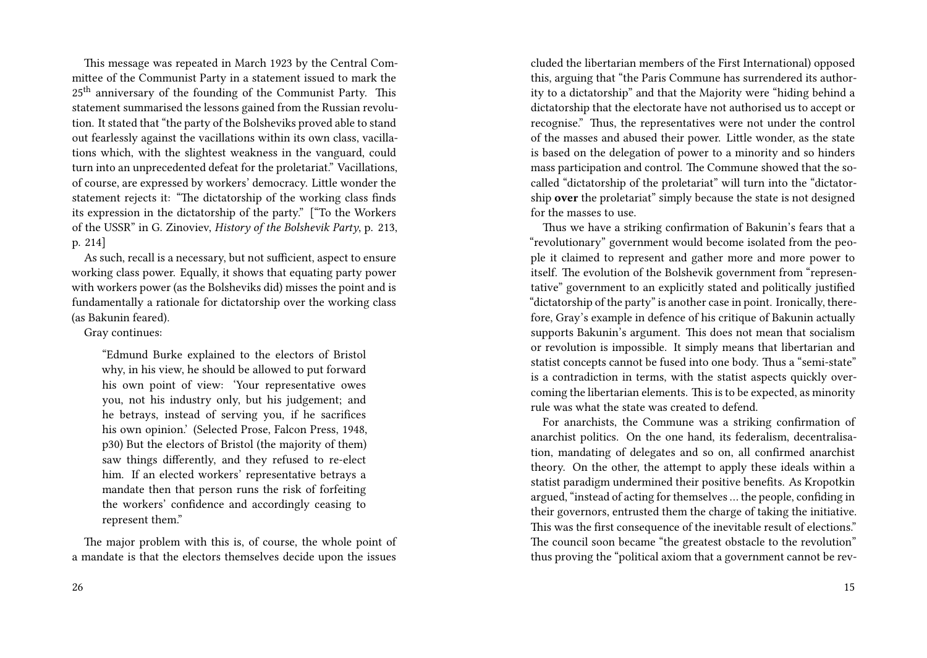This message was repeated in March 1923 by the Central Committee of the Communist Party in a statement issued to mark the 25<sup>th</sup> anniversary of the founding of the Communist Party. This statement summarised the lessons gained from the Russian revolution. It stated that "the party of the Bolsheviks proved able to stand out fearlessly against the vacillations within its own class, vacillations which, with the slightest weakness in the vanguard, could turn into an unprecedented defeat for the proletariat." Vacillations, of course, are expressed by workers' democracy. Little wonder the statement rejects it: "The dictatorship of the working class finds its expression in the dictatorship of the party." ["To the Workers of the USSR" in G. Zinoviev, *History of the Bolshevik Party*, p. 213, p. 214]

As such, recall is a necessary, but not sufficient, aspect to ensure working class power. Equally, it shows that equating party power with workers power (as the Bolsheviks did) misses the point and is fundamentally a rationale for dictatorship over the working class (as Bakunin feared).

Gray continues:

"Edmund Burke explained to the electors of Bristol why, in his view, he should be allowed to put forward his own point of view: 'Your representative owes you, not his industry only, but his judgement; and he betrays, instead of serving you, if he sacrifices his own opinion.' (Selected Prose, Falcon Press, 1948, p30) But the electors of Bristol (the majority of them) saw things differently, and they refused to re-elect him. If an elected workers' representative betrays a mandate then that person runs the risk of forfeiting the workers' confidence and accordingly ceasing to represent them."

The major problem with this is, of course, the whole point of a mandate is that the electors themselves decide upon the issues

cluded the libertarian members of the First International) opposed this, arguing that "the Paris Commune has surrendered its authority to a dictatorship" and that the Majority were "hiding behind a dictatorship that the electorate have not authorised us to accept or recognise." Thus, the representatives were not under the control of the masses and abused their power. Little wonder, as the state is based on the delegation of power to a minority and so hinders mass participation and control. The Commune showed that the socalled "dictatorship of the proletariat" will turn into the "dictatorship **over** the proletariat" simply because the state is not designed for the masses to use.

Thus we have a striking confirmation of Bakunin's fears that a "revolutionary" government would become isolated from the people it claimed to represent and gather more and more power to itself. The evolution of the Bolshevik government from "representative" government to an explicitly stated and politically justified "dictatorship of the party" is another case in point. Ironically, therefore, Gray's example in defence of his critique of Bakunin actually supports Bakunin's argument. This does not mean that socialism or revolution is impossible. It simply means that libertarian and statist concepts cannot be fused into one body. Thus a "semi-state" is a contradiction in terms, with the statist aspects quickly overcoming the libertarian elements. This is to be expected, as minority rule was what the state was created to defend.

For anarchists, the Commune was a striking confirmation of anarchist politics. On the one hand, its federalism, decentralisation, mandating of delegates and so on, all confirmed anarchist theory. On the other, the attempt to apply these ideals within a statist paradigm undermined their positive benefits. As Kropotkin argued, "instead of acting for themselves … the people, confiding in their governors, entrusted them the charge of taking the initiative. This was the first consequence of the inevitable result of elections." The council soon became "the greatest obstacle to the revolution" thus proving the "political axiom that a government cannot be rev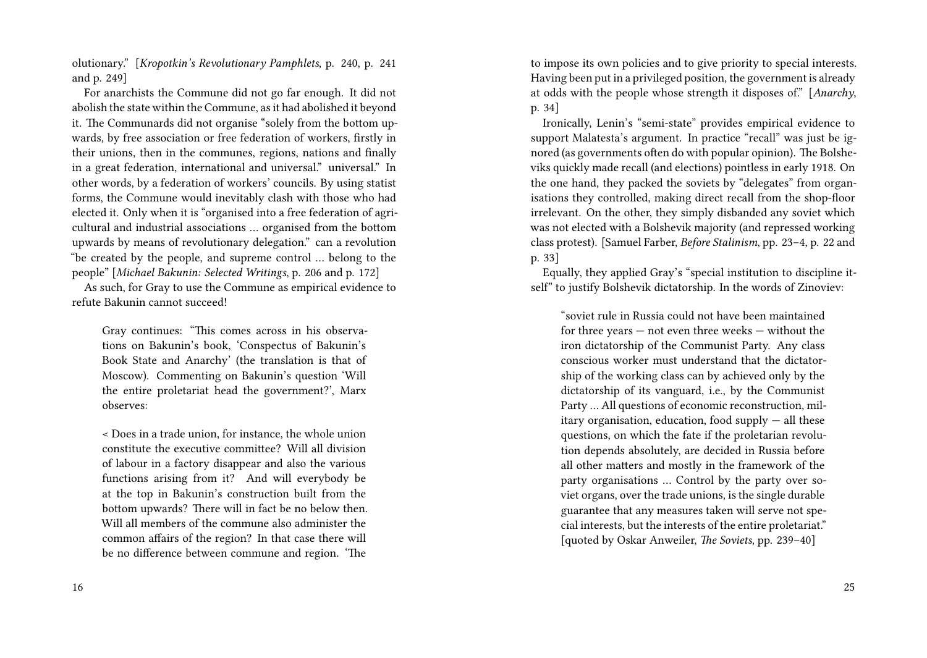olutionary." [*Kropotkin's Revolutionary Pamphlets*, p. 240, p. 241 and p. 249]

For anarchists the Commune did not go far enough. It did not abolish the state within the Commune, as it had abolished it beyond it. The Communards did not organise "solely from the bottom upwards, by free association or free federation of workers, firstly in their unions, then in the communes, regions, nations and finally in a great federation, international and universal." universal." In other words, by a federation of workers' councils. By using statist forms, the Commune would inevitably clash with those who had elected it. Only when it is "organised into a free federation of agricultural and industrial associations … organised from the bottom upwards by means of revolutionary delegation." can a revolution "be created by the people, and supreme control … belong to the people" [*Michael Bakunin: Selected Writings*, p. 206 and p. 172]

As such, for Gray to use the Commune as empirical evidence to refute Bakunin cannot succeed!

Gray continues: "This comes across in his observations on Bakunin's book, 'Conspectus of Bakunin's Book State and Anarchy' (the translation is that of Moscow). Commenting on Bakunin's question 'Will the entire proletariat head the government?', Marx observes:

< Does in a trade union, for instance, the whole union constitute the executive committee? Will all division of labour in a factory disappear and also the various functions arising from it? And will everybody be at the top in Bakunin's construction built from the bottom upwards? There will in fact be no below then. Will all members of the commune also administer the common affairs of the region? In that case there will be no difference between commune and region. 'The

to impose its own policies and to give priority to special interests. Having been put in a privileged position, the government is already at odds with the people whose strength it disposes of." [*Anarchy*, p. 34]

Ironically, Lenin's "semi-state" provides empirical evidence to support Malatesta's argument. In practice "recall" was just be ignored (as governments often do with popular opinion). The Bolsheviks quickly made recall (and elections) pointless in early 1918. On the one hand, they packed the soviets by "delegates" from organisations they controlled, making direct recall from the shop-floor irrelevant. On the other, they simply disbanded any soviet which was not elected with a Bolshevik majority (and repressed working class protest). [Samuel Farber, *Before Stalinism*, pp. 23–4, p. 22 and p. 33]

Equally, they applied Gray's "special institution to discipline itself" to justify Bolshevik dictatorship. In the words of Zinoviev:

"soviet rule in Russia could not have been maintained for three years — not even three weeks — without the iron dictatorship of the Communist Party. Any class conscious worker must understand that the dictatorship of the working class can by achieved only by the dictatorship of its vanguard, i.e., by the Communist Party … All questions of economic reconstruction, military organisation, education, food supply  $-$  all these questions, on which the fate if the proletarian revolution depends absolutely, are decided in Russia before all other matters and mostly in the framework of the party organisations … Control by the party over soviet organs, over the trade unions, is the single durable guarantee that any measures taken will serve not special interests, but the interests of the entire proletariat." [quoted by Oskar Anweiler, *The Soviets*, pp. 239–40]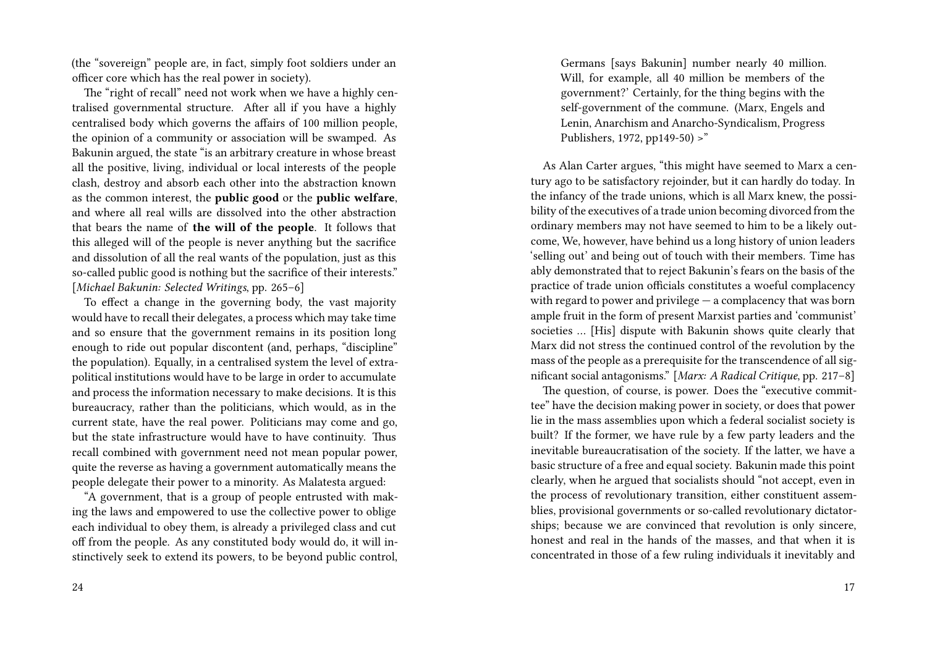(the "sovereign" people are, in fact, simply foot soldiers under an officer core which has the real power in society).

The "right of recall" need not work when we have a highly centralised governmental structure. After all if you have a highly centralised body which governs the affairs of 100 million people, the opinion of a community or association will be swamped. As Bakunin argued, the state "is an arbitrary creature in whose breast all the positive, living, individual or local interests of the people clash, destroy and absorb each other into the abstraction known as the common interest, the **public good** or the **public welfare**, and where all real wills are dissolved into the other abstraction that bears the name of **the will of the people**. It follows that this alleged will of the people is never anything but the sacrifice and dissolution of all the real wants of the population, just as this so-called public good is nothing but the sacrifice of their interests." [*Michael Bakunin: Selected Writings*, pp. 265–6]

To effect a change in the governing body, the vast majority would have to recall their delegates, a process which may take time and so ensure that the government remains in its position long enough to ride out popular discontent (and, perhaps, "discipline" the population). Equally, in a centralised system the level of extrapolitical institutions would have to be large in order to accumulate and process the information necessary to make decisions. It is this bureaucracy, rather than the politicians, which would, as in the current state, have the real power. Politicians may come and go, but the state infrastructure would have to have continuity. Thus recall combined with government need not mean popular power, quite the reverse as having a government automatically means the people delegate their power to a minority. As Malatesta argued:

"A government, that is a group of people entrusted with making the laws and empowered to use the collective power to oblige each individual to obey them, is already a privileged class and cut off from the people. As any constituted body would do, it will instinctively seek to extend its powers, to be beyond public control,

Germans [says Bakunin] number nearly 40 million. Will, for example, all 40 million be members of the government?' Certainly, for the thing begins with the self-government of the commune. (Marx, Engels and Lenin, Anarchism and Anarcho-Syndicalism, Progress Publishers, 1972, pp149-50) >"

As Alan Carter argues, "this might have seemed to Marx a century ago to be satisfactory rejoinder, but it can hardly do today. In the infancy of the trade unions, which is all Marx knew, the possibility of the executives of a trade union becoming divorced from the ordinary members may not have seemed to him to be a likely outcome, We, however, have behind us a long history of union leaders 'selling out' and being out of touch with their members. Time has ably demonstrated that to reject Bakunin's fears on the basis of the practice of trade union officials constitutes a woeful complacency with regard to power and privilege  $-$  a complacency that was born ample fruit in the form of present Marxist parties and 'communist' societies … [His] dispute with Bakunin shows quite clearly that Marx did not stress the continued control of the revolution by the mass of the people as a prerequisite for the transcendence of all significant social antagonisms." [*Marx: A Radical Critique*, pp. 217–8]

The question, of course, is power. Does the "executive committee" have the decision making power in society, or does that power lie in the mass assemblies upon which a federal socialist society is built? If the former, we have rule by a few party leaders and the inevitable bureaucratisation of the society. If the latter, we have a basic structure of a free and equal society. Bakunin made this point clearly, when he argued that socialists should "not accept, even in the process of revolutionary transition, either constituent assemblies, provisional governments or so-called revolutionary dictatorships; because we are convinced that revolution is only sincere, honest and real in the hands of the masses, and that when it is concentrated in those of a few ruling individuals it inevitably and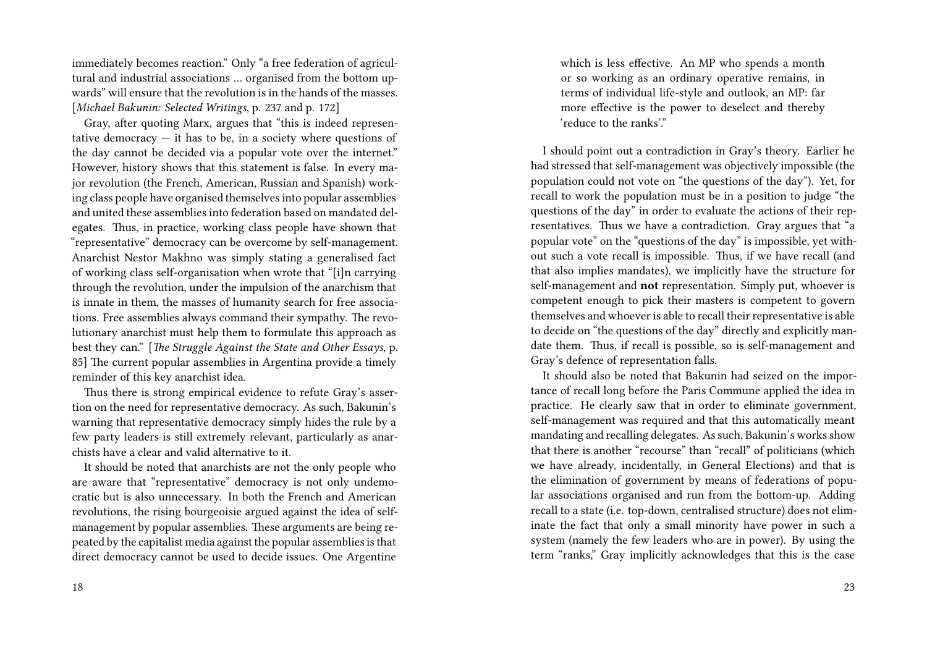immediately becomes reaction." Only "a free federation of agricultural and industrial associations … organised from the bottom upwards" will ensure that the revolution is in the hands of the masses. [*Michael Bakunin: Selected Writings*, p. 237 and p. 172]

Gray, after quoting Marx, argues that "this is indeed representative democracy  $-$  it has to be, in a society where questions of the day cannot be decided via a popular vote over the internet." However, history shows that this statement is false. In every major revolution (the French, American, Russian and Spanish) working class people have organised themselves into popular assemblies and united these assemblies into federation based on mandated delegates. Thus, in practice, working class people have shown that "representative" democracy can be overcome by self-management. Anarchist Nestor Makhno was simply stating a generalised fact of working class self-organisation when wrote that "[i]n carrying through the revolution, under the impulsion of the anarchism that is innate in them, the masses of humanity search for free associations. Free assemblies always command their sympathy. The revolutionary anarchist must help them to formulate this approach as best they can." [*The Struggle Against the State and Other Essays*, p. 85] The current popular assemblies in Argentina provide a timely reminder of this key anarchist idea.

Thus there is strong empirical evidence to refute Gray's assertion on the need for representative democracy. As such, Bakunin's warning that representative democracy simply hides the rule by a few party leaders is still extremely relevant, particularly as anarchists have a clear and valid alternative to it.

It should be noted that anarchists are not the only people who are aware that "representative" democracy is not only undemocratic but is also unnecessary. In both the French and American revolutions, the rising bourgeoisie argued against the idea of selfmanagement by popular assemblies. These arguments are being repeated by the capitalist media against the popular assemblies is that direct democracy cannot be used to decide issues. One Argentine which is less effective. An MP who spends a month or so working as an ordinary operative remains, in terms of individual life-style and outlook, an MP: far more effective is the power to deselect and thereby 'reduce to the ranks'."

I should point out a contradiction in Gray's theory. Earlier he had stressed that self-management was objectively impossible (the population could not vote on "the questions of the day"). Yet, for recall to work the population must be in a position to judge "the questions of the day" in order to evaluate the actions of their representatives. Thus we have a contradiction. Gray argues that "a popular vote" on the "questions of the day" is impossible, yet without such a vote recall is impossible. Thus, if we have recall (and that also implies mandates), we implicitly have the structure for self-management and **not** representation. Simply put, whoever is competent enough to pick their masters is competent to govern themselves and whoever is able to recall their representative is able to decide on "the questions of the day" directly and explicitly mandate them. Thus, if recall is possible, so is self-management and Gray's defence of representation falls.

It should also be noted that Bakunin had seized on the importance of recall long before the Paris Commune applied the idea in practice. He clearly saw that in order to eliminate government, self-management was required and that this automatically meant mandating and recalling delegates. As such, Bakunin's works show that there is another "recourse" than "recall" of politicians (which we have already, incidentally, in General Elections) and that is the elimination of government by means of federations of popular associations organised and run from the bottom-up. Adding recall to a state (i.e. top-down, centralised structure) does not eliminate the fact that only a small minority have power in such a system (namely the few leaders who are in power). By using the term "ranks," Gray implicitly acknowledges that this is the case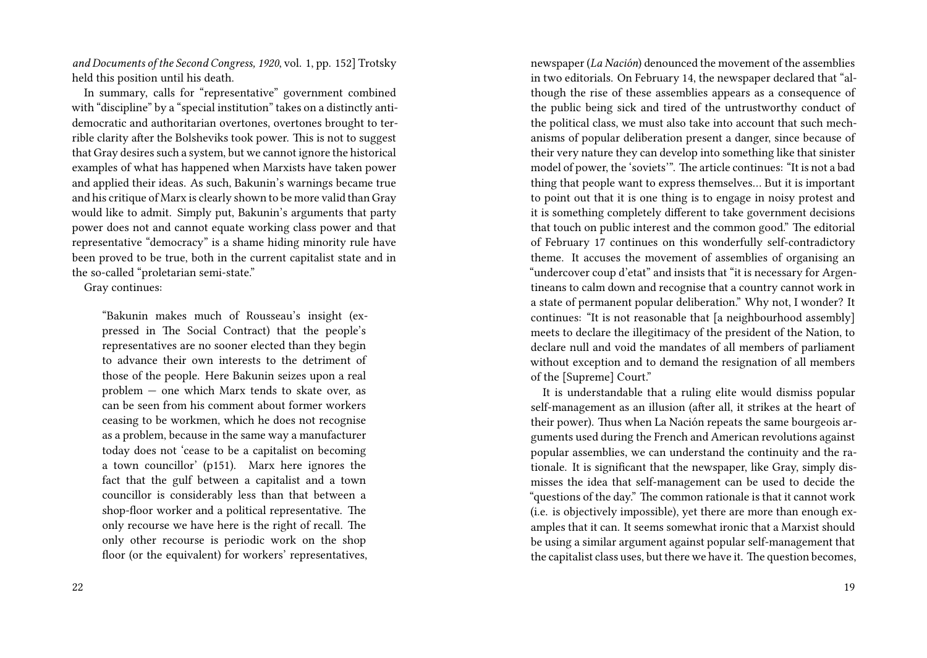*and Documents of the Second Congress, 1920*, vol. 1, pp. 152] Trotsky held this position until his death.

In summary, calls for "representative" government combined with "discipline" by a "special institution" takes on a distinctly antidemocratic and authoritarian overtones, overtones brought to terrible clarity after the Bolsheviks took power. This is not to suggest that Gray desires such a system, but we cannot ignore the historical examples of what has happened when Marxists have taken power and applied their ideas. As such, Bakunin's warnings became true and his critique of Marx is clearly shown to be more valid than Gray would like to admit. Simply put, Bakunin's arguments that party power does not and cannot equate working class power and that representative "democracy" is a shame hiding minority rule have been proved to be true, both in the current capitalist state and in the so-called "proletarian semi-state."

Gray continues:

"Bakunin makes much of Rousseau's insight (expressed in The Social Contract) that the people's representatives are no sooner elected than they begin to advance their own interests to the detriment of those of the people. Here Bakunin seizes upon a real problem — one which Marx tends to skate over, as can be seen from his comment about former workers ceasing to be workmen, which he does not recognise as a problem, because in the same way a manufacturer today does not 'cease to be a capitalist on becoming a town councillor' (p151). Marx here ignores the fact that the gulf between a capitalist and a town councillor is considerably less than that between a shop-floor worker and a political representative. The only recourse we have here is the right of recall. The only other recourse is periodic work on the shop floor (or the equivalent) for workers' representatives,

newspaper (*La Nación*) denounced the movement of the assemblies in two editorials. On February 14, the newspaper declared that "although the rise of these assemblies appears as a consequence of the public being sick and tired of the untrustworthy conduct of the political class, we must also take into account that such mechanisms of popular deliberation present a danger, since because of their very nature they can develop into something like that sinister model of power, the 'soviets'". The article continues: "It is not a bad thing that people want to express themselves… But it is important to point out that it is one thing is to engage in noisy protest and it is something completely different to take government decisions that touch on public interest and the common good." The editorial of February 17 continues on this wonderfully self-contradictory theme. It accuses the movement of assemblies of organising an "undercover coup d'etat" and insists that "it is necessary for Argentineans to calm down and recognise that a country cannot work in a state of permanent popular deliberation." Why not, I wonder? It continues: "It is not reasonable that [a neighbourhood assembly] meets to declare the illegitimacy of the president of the Nation, to declare null and void the mandates of all members of parliament without exception and to demand the resignation of all members of the [Supreme] Court."

It is understandable that a ruling elite would dismiss popular self-management as an illusion (after all, it strikes at the heart of their power). Thus when La Nación repeats the same bourgeois arguments used during the French and American revolutions against popular assemblies, we can understand the continuity and the rationale. It is significant that the newspaper, like Gray, simply dismisses the idea that self-management can be used to decide the "questions of the day." The common rationale is that it cannot work (i.e. is objectively impossible), yet there are more than enough examples that it can. It seems somewhat ironic that a Marxist should be using a similar argument against popular self-management that the capitalist class uses, but there we have it. The question becomes,